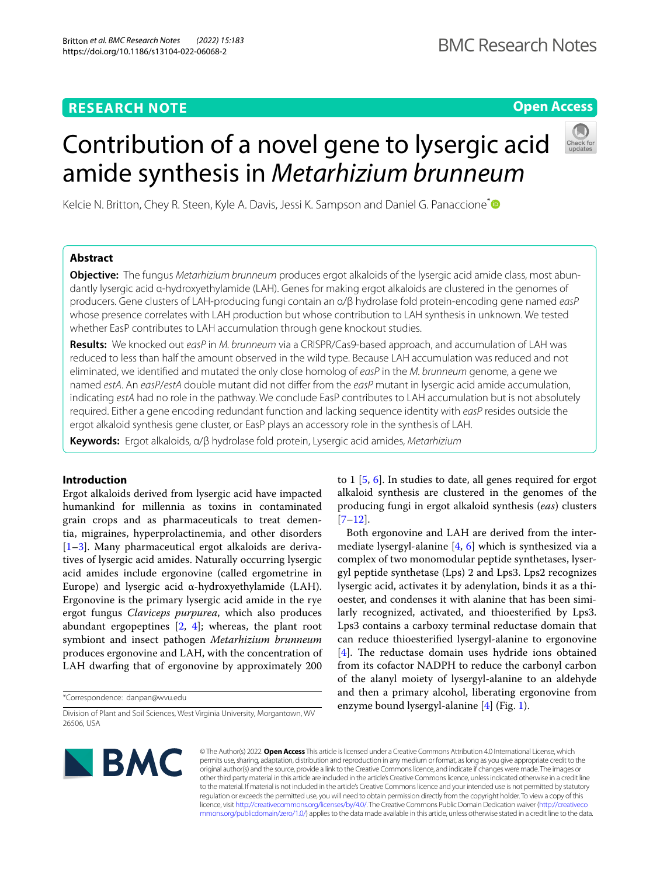# **RESEARCH NOTE**

# **Open Access**

# Kelcie N. Britton, Chey R. Steen, Kyle A. Davis, Jessi K. Sampson and Daniel G. Panaccione<sup>\*</sup><sup>®</sup>

amide synthesis in *Metarhizium brunneum*

Contribution of a novel gene to lysergic acid

# **Abstract**

**Objective:** The fungus *Metarhizium brunneum* produces ergot alkaloids of the lysergic acid amide class, most abundantly lysergic acid α-hydroxyethylamide (LAH). Genes for making ergot alkaloids are clustered in the genomes of producers. Gene clusters of LAH-producing fungi contain an α/β hydrolase fold protein-encoding gene named *easP* whose presence correlates with LAH production but whose contribution to LAH synthesis in unknown. We tested whether EasP contributes to LAH accumulation through gene knockout studies.

**Results:** We knocked out *easP* in *M. brunneum* via a CRISPR/Cas9-based approach, and accumulation of LAH was reduced to less than half the amount observed in the wild type. Because LAH accumulation was reduced and not eliminated, we identifed and mutated the only close homolog of *easP* in the *M. brunneum* genome, a gene we named *estA*. An *easP*/*estA* double mutant did not difer from the *easP* mutant in lysergic acid amide accumulation, indicating *estA* had no role in the pathway. We conclude EasP contributes to LAH accumulation but is not absolutely required. Either a gene encoding redundant function and lacking sequence identity with *easP* resides outside the ergot alkaloid synthesis gene cluster, or EasP plays an accessory role in the synthesis of LAH.

**Keywords:** Ergot alkaloids, α/β hydrolase fold protein, Lysergic acid amides, *Metarhizium*

# **Introduction**

Ergot alkaloids derived from lysergic acid have impacted humankind for millennia as toxins in contaminated grain crops and as pharmaceuticals to treat dementia, migraines, hyperprolactinemia, and other disorders [[1–](#page-4-0)[3\]](#page-4-1). Many pharmaceutical ergot alkaloids are derivatives of lysergic acid amides. Naturally occurring lysergic acid amides include ergonovine (called ergometrine in Europe) and lysergic acid α-hydroxyethylamide (LAH). Ergonovine is the primary lysergic acid amide in the rye ergot fungus *Claviceps purpurea*, which also produces abundant ergopeptines [\[2](#page-4-2), [4](#page-4-3)]; whereas, the plant root symbiont and insect pathogen *Metarhizium brunneum* produces ergonovine and LAH, with the concentration of LAH dwarfng that of ergonovine by approximately 200

\*Correspondence: danpan@wvu.edu

to 1 [[5,](#page-4-4) [6\]](#page-4-5). In studies to date, all genes required for ergot alkaloid synthesis are clustered in the genomes of the producing fungi in ergot alkaloid synthesis (*eas*) clusters [[7–](#page-4-6)[12\]](#page-4-7).

Both ergonovine and LAH are derived from the intermediate lysergyl-alanine  $[4, 6]$  $[4, 6]$  $[4, 6]$  $[4, 6]$  which is synthesized via a complex of two monomodular peptide synthetases, lysergyl peptide synthetase (Lps) 2 and Lps3. Lps2 recognizes lysergic acid, activates it by adenylation, binds it as a thioester, and condenses it with alanine that has been similarly recognized, activated, and thioesterifed by Lps3. Lps3 contains a carboxy terminal reductase domain that can reduce thioesterifed lysergyl-alanine to ergonovine  $[4]$  $[4]$ . The reductase domain uses hydride ions obtained from its cofactor NADPH to reduce the carbonyl carbon of the alanyl moiety of lysergyl-alanine to an aldehyde and then a primary alcohol, liberating ergonovine from enzyme bound lysergyl-alanine [\[4](#page-4-3)] (Fig. [1\)](#page-1-0).



© The Author(s) 2022. **Open Access** This article is licensed under a Creative Commons Attribution 4.0 International License, which permits use, sharing, adaptation, distribution and reproduction in any medium or format, as long as you give appropriate credit to the original author(s) and the source, provide a link to the Creative Commons licence, and indicate if changes were made. The images or other third party material in this article are included in the article's Creative Commons licence, unless indicated otherwise in a credit line to the material. If material is not included in the article's Creative Commons licence and your intended use is not permitted by statutory regulation or exceeds the permitted use, you will need to obtain permission directly from the copyright holder. To view a copy of this licence, visit [http://creativecommons.org/licenses/by/4.0/.](http://creativecommons.org/licenses/by/4.0/) The Creative Commons Public Domain Dedication waiver ([http://creativeco](http://creativecommons.org/publicdomain/zero/1.0/) [mmons.org/publicdomain/zero/1.0/](http://creativecommons.org/publicdomain/zero/1.0/)) applies to the data made available in this article, unless otherwise stated in a credit line to the data.

Division of Plant and Soil Sciences, West Virginia University, Morgantown, WV 26506, USA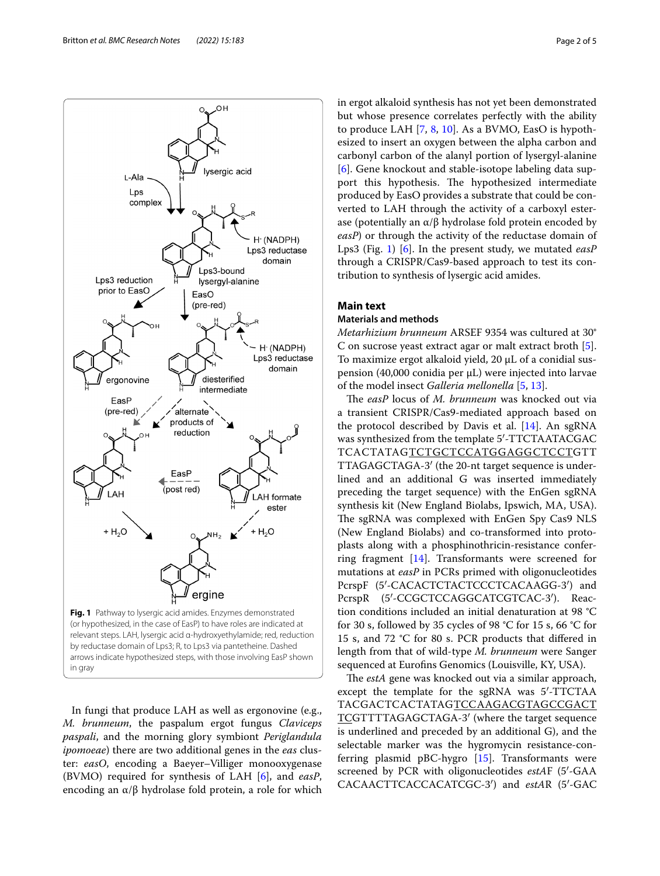

<span id="page-1-0"></span>In fungi that produce LAH as well as ergonovine (e.g., *M. brunneum*, the paspalum ergot fungus *Claviceps paspali*, and the morning glory symbiont *Periglandula ipomoeae*) there are two additional genes in the *eas* cluster: *easO*, encoding a Baeyer–Villiger monooxygenase (BVMO) required for synthesis of LAH [\[6](#page-4-5)], and *easP*, encoding an  $\alpha/\beta$  hydrolase fold protein, a role for which in ergot alkaloid synthesis has not yet been demonstrated but whose presence correlates perfectly with the ability to produce LAH [[7,](#page-4-6) [8,](#page-4-8) [10\]](#page-4-9). As a BVMO, EasO is hypothesized to insert an oxygen between the alpha carbon and carbonyl carbon of the alanyl portion of lysergyl-alanine [[6\]](#page-4-5). Gene knockout and stable-isotope labeling data support this hypothesis. The hypothesized intermediate produced by EasO provides a substrate that could be converted to LAH through the activity of a carboxyl esterase (potentially an α/β hydrolase fold protein encoded by *easP*) or through the activity of the reductase domain of Lps3 (Fig. [1](#page-1-0)) [[6\]](#page-4-5). In the present study, we mutated *easP* through a CRISPR/Cas9-based approach to test its contribution to synthesis of lysergic acid amides.

# **Main text**

# **Materials and methods**

*Metarhizium brunneum* ARSEF 9354 was cultured at 30° C on sucrose yeast extract agar or malt extract broth [\[5](#page-4-4)]. To maximize ergot alkaloid yield, 20 µL of a conidial suspension (40,000 conidia per µL) were injected into larvae of the model insect *Galleria mellonella* [[5](#page-4-4), [13\]](#page-4-10).

The easP locus of *M. brunneum* was knocked out via a transient CRISPR/Cas9-mediated approach based on the protocol described by Davis et al.  $[14]$  $[14]$  $[14]$ . An sgRNA was synthesized from the template 5′-TTCTAATACGAC TCACTATAGTCTGCTCCATGGAGGCTCCTGTT TTAGAGCTAGA-3′ (the 20-nt target sequence is underlined and an additional G was inserted immediately preceding the target sequence) with the EnGen sgRNA synthesis kit (New England Biolabs, Ipswich, MA, USA). The sgRNA was complexed with EnGen Spy Cas9 NLS (New England Biolabs) and co-transformed into protoplasts along with a phosphinothricin-resistance conferring fragment [[14\]](#page-4-11). Transformants were screened for mutations at *easP* in PCRs primed with oligonucleotides PcrspF (5'-CACACTCTACTCCCTCACAAGG-3') and PcrspR (5'-CCGCTCCAGGCATCGTCAC-3'). Reaction conditions included an initial denaturation at 98 °C for 30 s, followed by 35 cycles of 98 °C for 15 s, 66 °C for 15 s, and 72 °C for 80 s. PCR products that difered in length from that of wild-type *M. brunneum* were Sanger sequenced at Eurofns Genomics (Louisville, KY, USA).

The *estA* gene was knocked out via a similar approach, except the template for the sgRNA was 5′-TTCTAA TACGACTCACTATAGTCCAAGACGTAGCCGACT TCGTTTTAGAGCTAGA-3′ (where the target sequence is underlined and preceded by an additional G), and the selectable marker was the hygromycin resistance-conferring plasmid pBC-hygro [\[15](#page-4-12)]. Transformants were screened by PCR with oligonucleotides *estA*F (5′-GAA CACAACTTCACCACATCGC-3′) and *estA*R (5′-GAC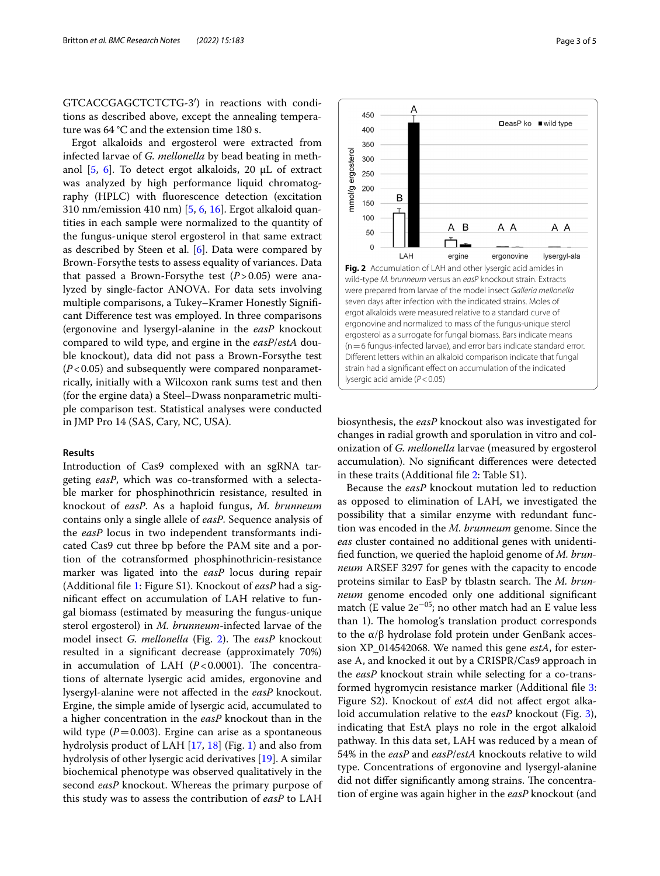GTCACCGAGCTCTCTG-3′) in reactions with conditions as described above, except the annealing temperature was 64 °C and the extension time 180 s.

Ergot alkaloids and ergosterol were extracted from infected larvae of *G. mellonella* by bead beating in methanol  $[5, 6]$  $[5, 6]$  $[5, 6]$  $[5, 6]$  $[5, 6]$ . To detect ergot alkaloids, 20 µL of extract was analyzed by high performance liquid chromatography (HPLC) with fuorescence detection (excitation 310 nm/emission 410 nm) [[5,](#page-4-4) [6](#page-4-5), [16](#page-4-13)]. Ergot alkaloid quantities in each sample were normalized to the quantity of the fungus-unique sterol ergosterol in that same extract as described by Steen et al.  $[6]$  $[6]$ . Data were compared by Brown-Forsythe tests to assess equality of variances. Data that passed a Brown-Forsythe test  $(P>0.05)$  were analyzed by single-factor ANOVA. For data sets involving multiple comparisons, a Tukey–Kramer Honestly Signifcant Diference test was employed. In three comparisons (ergonovine and lysergyl-alanine in the *easP* knockout compared to wild type, and ergine in the *easP*/*estA* double knockout), data did not pass a Brown-Forsythe test (*P*<0.05) and subsequently were compared nonparametrically, initially with a Wilcoxon rank sums test and then (for the ergine data) a Steel–Dwass nonparametric multiple comparison test. Statistical analyses were conducted in JMP Pro 14 (SAS, Cary, NC, USA).

# **Results**

Introduction of Cas9 complexed with an sgRNA targeting *easP*, which was co-transformed with a selectable marker for phosphinothricin resistance, resulted in knockout of *easP*. As a haploid fungus, *M. brunneum* contains only a single allele of *easP*. Sequence analysis of the *easP* locus in two independent transformants indicated Cas9 cut three bp before the PAM site and a portion of the cotransformed phosphinothricin-resistance marker was ligated into the *easP* locus during repair (Additional fle [1:](#page-4-14) Figure S1). Knockout of *easP* had a signifcant efect on accumulation of LAH relative to fungal biomass (estimated by measuring the fungus-unique sterol ergosterol) in *M. brunneum*-infected larvae of the model insect *G. mellonella* (Fig. [2\)](#page-2-0). The easP knockout resulted in a signifcant decrease (approximately 70%) in accumulation of LAH  $(P<0.0001)$ . The concentrations of alternate lysergic acid amides, ergonovine and lysergyl-alanine were not afected in the *easP* knockout. Ergine, the simple amide of lysergic acid, accumulated to a higher concentration in the *easP* knockout than in the wild type  $(P=0.003)$ . Ergine can arise as a spontaneous hydrolysis product of LAH [[17](#page-4-15), [18\]](#page-4-16) (Fig. [1](#page-1-0)) and also from hydrolysis of other lysergic acid derivatives [[19\]](#page-4-17). A similar biochemical phenotype was observed qualitatively in the second *easP* knockout. Whereas the primary purpose of this study was to assess the contribution of *easP* to LAH

<span id="page-2-0"></span>

A

450

biosynthesis, the *easP* knockout also was investigated for changes in radial growth and sporulation in vitro and colonization of *G. mellonella* larvae (measured by ergosterol accumulation). No signifcant diferences were detected in these traits (Additional fle [2](#page-4-18): Table S1).

Because the *easP* knockout mutation led to reduction as opposed to elimination of LAH, we investigated the possibility that a similar enzyme with redundant function was encoded in the *M. brunneum* genome. Since the *eas* cluster contained no additional genes with unidentifed function, we queried the haploid genome of *M. brunneum* ARSEF 3297 for genes with the capacity to encode proteins similar to EasP by tblastn search. The *M. brunneum* genome encoded only one additional signifcant match (E value  $2e^{-0.5}$ ; no other match had an E value less than 1). The homolog's translation product corresponds to the α/β hydrolase fold protein under GenBank accession XP\_014542068. We named this gene *estA*, for esterase A, and knocked it out by a CRISPR/Cas9 approach in the *easP* knockout strain while selecting for a co-transformed hygromycin resistance marker (Additional fle [3](#page-4-19): Figure S2). Knockout of *estA* did not afect ergot alkaloid accumulation relative to the e*asP* knockout (Fig. [3](#page-3-0)), indicating that EstA plays no role in the ergot alkaloid pathway. In this data set, LAH was reduced by a mean of 54% in the *easP* and *easP*/*estA* knockouts relative to wild type. Concentrations of ergonovine and lysergyl-alanine did not differ significantly among strains. The concentration of ergine was again higher in the *easP* knockout (and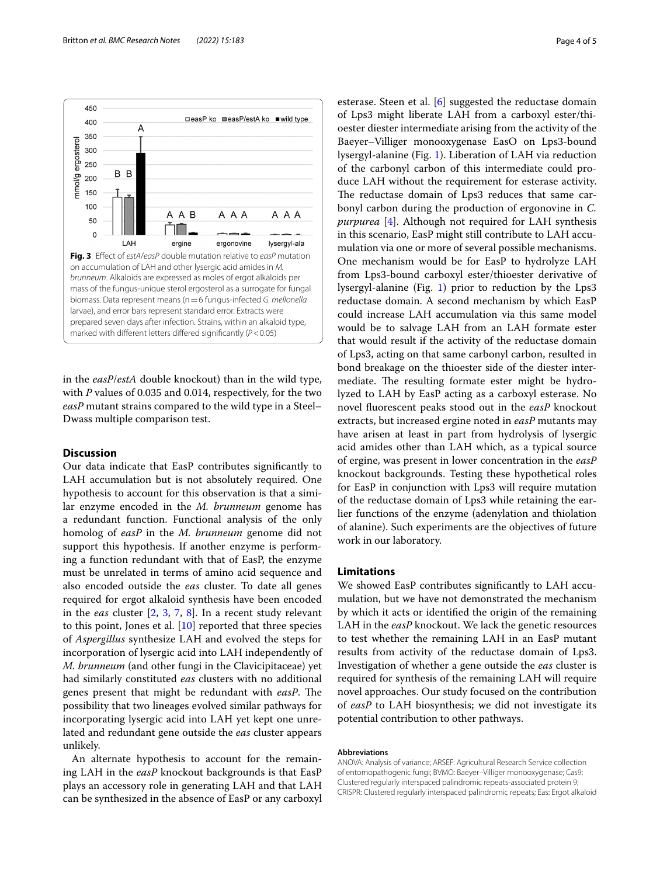

<span id="page-3-0"></span>in the *easP*/*estA* double knockout) than in the wild type, with *P* values of 0.035 and 0.014, respectively, for the two *easP* mutant strains compared to the wild type in a Steel– Dwass multiple comparison test.

# **Discussion**

Our data indicate that EasP contributes signifcantly to LAH accumulation but is not absolutely required. One hypothesis to account for this observation is that a similar enzyme encoded in the *M. brunneum* genome has a redundant function. Functional analysis of the only homolog of *easP* in the *M. brunneum* genome did not support this hypothesis. If another enzyme is performing a function redundant with that of EasP, the enzyme must be unrelated in terms of amino acid sequence and also encoded outside the *eas* cluster. To date all genes required for ergot alkaloid synthesis have been encoded in the *eas* cluster [\[2,](#page-4-2) [3,](#page-4-1) [7](#page-4-6), [8](#page-4-8)]. In a recent study relevant to this point, Jones et al. [[10](#page-4-9)] reported that three species of *Aspergillus* synthesize LAH and evolved the steps for incorporation of lysergic acid into LAH independently of *M. brunneum* (and other fungi in the Clavicipitaceae) yet had similarly constituted *eas* clusters with no additional genes present that might be redundant with *easP*. The possibility that two lineages evolved similar pathways for incorporating lysergic acid into LAH yet kept one unrelated and redundant gene outside the *eas* cluster appears unlikely.

An alternate hypothesis to account for the remaining LAH in the *easP* knockout backgrounds is that EasP plays an accessory role in generating LAH and that LAH can be synthesized in the absence of EasP or any carboxyl esterase. Steen et al. [[6](#page-4-5)] suggested the reductase domain of Lps3 might liberate LAH from a carboxyl ester/thioester diester intermediate arising from the activity of the Baeyer–Villiger monooxygenase EasO on Lps3-bound lysergyl-alanine (Fig. [1](#page-1-0)). Liberation of LAH via reduction of the carbonyl carbon of this intermediate could produce LAH without the requirement for esterase activity. The reductase domain of Lps3 reduces that same carbonyl carbon during the production of ergonovine in *C. purpurea* [[4\]](#page-4-3). Although not required for LAH synthesis in this scenario, EasP might still contribute to LAH accumulation via one or more of several possible mechanisms. One mechanism would be for EasP to hydrolyze LAH from Lps3-bound carboxyl ester/thioester derivative of lysergyl-alanine (Fig. [1\)](#page-1-0) prior to reduction by the Lps3 reductase domain. A second mechanism by which EasP could increase LAH accumulation via this same model would be to salvage LAH from an LAH formate ester that would result if the activity of the reductase domain of Lps3, acting on that same carbonyl carbon, resulted in bond breakage on the thioester side of the diester intermediate. The resulting formate ester might be hydrolyzed to LAH by EasP acting as a carboxyl esterase. No novel fuorescent peaks stood out in the *easP* knockout extracts, but increased ergine noted in *easP* mutants may have arisen at least in part from hydrolysis of lysergic acid amides other than LAH which, as a typical source of ergine, was present in lower concentration in the *easP* knockout backgrounds. Testing these hypothetical roles for EasP in conjunction with Lps3 will require mutation of the reductase domain of Lps3 while retaining the earlier functions of the enzyme (adenylation and thiolation of alanine). Such experiments are the objectives of future work in our laboratory.

### **Limitations**

We showed EasP contributes signifcantly to LAH accumulation, but we have not demonstrated the mechanism by which it acts or identifed the origin of the remaining LAH in the *easP* knockout. We lack the genetic resources to test whether the remaining LAH in an EasP mutant results from activity of the reductase domain of Lps3. Investigation of whether a gene outside the *eas* cluster is required for synthesis of the remaining LAH will require novel approaches. Our study focused on the contribution of *easP* to LAH biosynthesis; we did not investigate its potential contribution to other pathways.

#### **Abbreviations**

ANOVA: Analysis of variance; ARSEF: Agricultural Research Service collection of entomopathogenic fungi; BVMO: Baeyer–Villiger monooxygenase; Cas9: Clustered regularly interspaced palindromic repeats-associated protein 9; CRISPR: Clustered regularly interspaced palindromic repeats; Eas: Ergot alkaloid